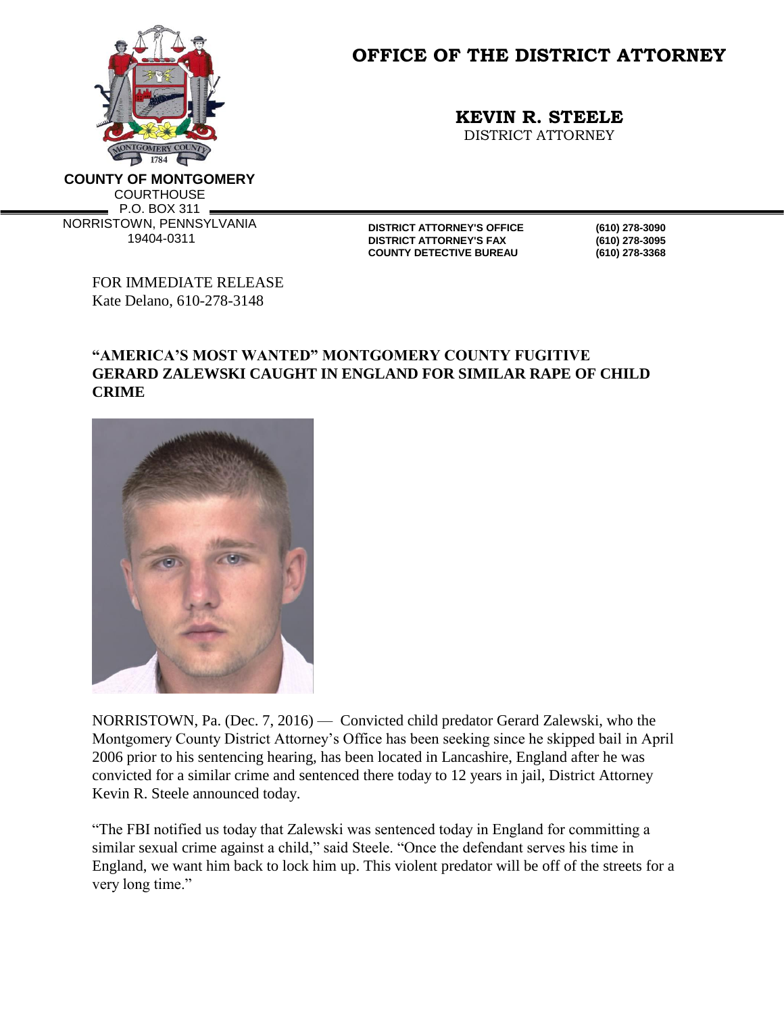

**OFFICE OF THE DISTRICT ATTORNEY**

**KEVIN R. STEELE**

DISTRICT ATTORNEY

**COUNTY OF MONTGOMERY COURTHOUSE** P.O. BOX 311 NORRISTOWN, PENNSYLVANIA 19404-0311

**DISTRICT ATTORNEY'S OFFICE (610) 278-3090 DISTRICT ATTORNEY'S FAX COUNTY DETECTIVE BUREAU (610) 278-3368**

FOR IMMEDIATE RELEASE Kate Delano, 610-278-3148

## **"AMERICA'S MOST WANTED" MONTGOMERY COUNTY FUGITIVE GERARD ZALEWSKI CAUGHT IN ENGLAND FOR SIMILAR RAPE OF CHILD CRIME**



NORRISTOWN, Pa. (Dec. 7, 2016) — Convicted child predator Gerard Zalewski, who the Montgomery County District Attorney's Office has been seeking since he skipped bail in April 2006 prior to his sentencing hearing, has been located in Lancashire, England after he was convicted for a similar crime and sentenced there today to 12 years in jail, District Attorney Kevin R. Steele announced today.

"The FBI notified us today that Zalewski was sentenced today in England for committing a similar sexual crime against a child," said Steele. "Once the defendant serves his time in England, we want him back to lock him up. This violent predator will be off of the streets for a very long time."